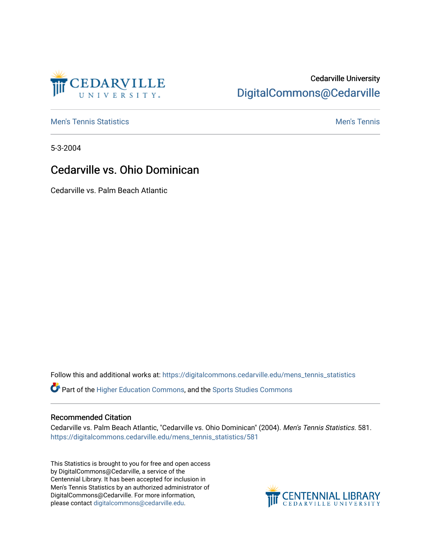

# Cedarville University [DigitalCommons@Cedarville](https://digitalcommons.cedarville.edu/)

**[Men's Tennis Statistics](https://digitalcommons.cedarville.edu/mens_tennis_statistics) Men's Tennis** Men's Tennis

5-3-2004

## Cedarville vs. Ohio Dominican

Cedarville vs. Palm Beach Atlantic

Follow this and additional works at: [https://digitalcommons.cedarville.edu/mens\\_tennis\\_statistics](https://digitalcommons.cedarville.edu/mens_tennis_statistics?utm_source=digitalcommons.cedarville.edu%2Fmens_tennis_statistics%2F581&utm_medium=PDF&utm_campaign=PDFCoverPages)

Part of the [Higher Education Commons,](http://network.bepress.com/hgg/discipline/1245?utm_source=digitalcommons.cedarville.edu%2Fmens_tennis_statistics%2F581&utm_medium=PDF&utm_campaign=PDFCoverPages) and the [Sports Studies Commons](http://network.bepress.com/hgg/discipline/1198?utm_source=digitalcommons.cedarville.edu%2Fmens_tennis_statistics%2F581&utm_medium=PDF&utm_campaign=PDFCoverPages) 

#### Recommended Citation

Cedarville vs. Palm Beach Atlantic, "Cedarville vs. Ohio Dominican" (2004). Men's Tennis Statistics. 581. [https://digitalcommons.cedarville.edu/mens\\_tennis\\_statistics/581](https://digitalcommons.cedarville.edu/mens_tennis_statistics/581?utm_source=digitalcommons.cedarville.edu%2Fmens_tennis_statistics%2F581&utm_medium=PDF&utm_campaign=PDFCoverPages) 

This Statistics is brought to you for free and open access by DigitalCommons@Cedarville, a service of the Centennial Library. It has been accepted for inclusion in Men's Tennis Statistics by an authorized administrator of DigitalCommons@Cedarville. For more information, please contact [digitalcommons@cedarville.edu](mailto:digitalcommons@cedarville.edu).